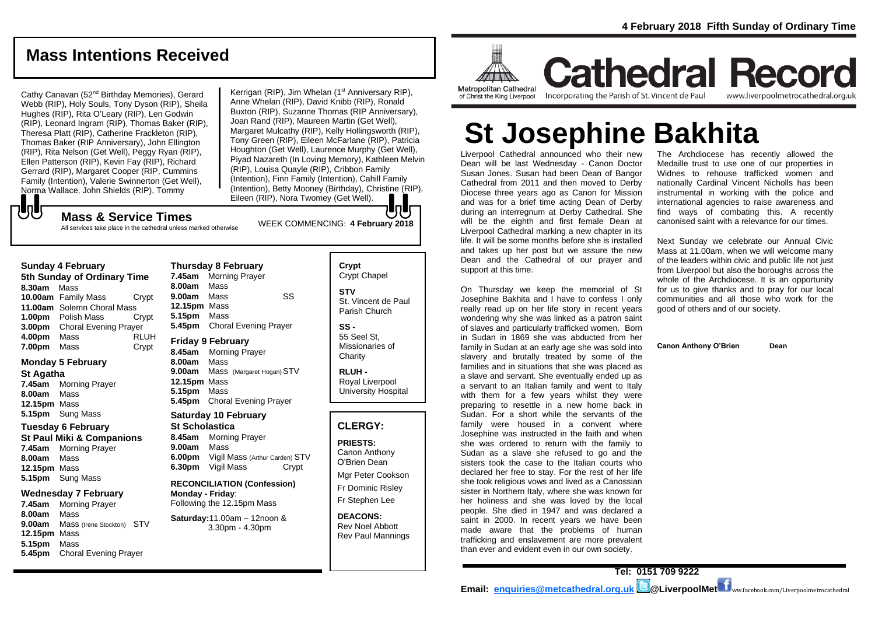# **Mass Intentions Received**

Cathy Canavan (52nd Birthday Memories), Gerard Webb (RIP), Holy Souls, Tony Dyson (RIP), Sheila Hughes (RIP), Rita O'Leary (RIP), Len Godwin (RIP), Leonard Ingram (RIP), Thomas Baker (RIP), Theresa Platt (RIP), Catherine Frackleton (RIP), Thomas Baker (RIP Anniversary), John Ellington (RIP), Rita Nelson (Get Well), Peggy Ryan (RIP), Ellen Patterson (RIP), Kevin Fay (RIP), Richard Gerrard (RIP), Margaret Cooper (RIP, Cummins Family (Intention), Valerie Swinnerton (Get Well), Norma Wallace, John Shields (RIP), Tommy

Kerrigan (RIP), Jim Whelan (1<sup>st</sup> Anniversary RIP), Anne Whelan (RIP), David Knibb (RIP), Ronald Buxton (RIP), Suzanne Thomas (RIP Anniversary), Joan Rand (RIP), Maureen Martin (Get Well), Margaret Mulcathy (RIP), Kelly Hollingsworth (RIP), Tony Green (RIP), Eileen McFarlane (RIP), Patricia Houghton (Get Well), Laurence Murphy (Get Well), Piyad Nazareth (In Loving Memory), Kathleen Melvin (RIP), Louisa Quayle (RIP), Cribbon Family (Intention), Finn Family (Intention), Cahill Family (Intention), Betty Mooney (Birthday), Christine (RIP), Eileen (RIP), Nora Twomey (Get Well).

# WEEK COMMENCING: **4 February <sup>2018</sup> Mass & Service Times**

All services take place in the cathedral unless marked otherwise

#### **Sunday 4 February**

もし

**5th Sunday of Ordinary Time 8.30am** Mass **10.00am** Family Mass Crypt **11.00am** Solemn Choral Mass **1.00pm** Polish Mass Crypt **3.00pm** Choral Evening Prayer **4.00pm** Mass RLUH **7.00pm** Mass Crypt

## **Monday 5 February**

**St Agatha** 

**7.45am** Morning Prayer **8.00am** Mass **12.15pm** Mass **5.15pm** Sung Mass

#### **Tuesday 6 February**

**St Paul Miki & Companions 7.45am** Morning Prayer **8.00am** Mass **12.15pm** Mass **5.15pm** Sung Mass

#### **Wednesday 7 February**

**7.45am** Morning Prayer **8.00am** Mass **9.00am** Mass (Irene Stockton) STV **12.15pm** Mass **5.15pm** Mass **5.45pm** Choral Evening Prayer

### **Thursday 8 February 7.45am** Morning Prayer **8.00am** Mass **9.00am** Mass SS **12.15pm** Mass **5.15pm** Mass **5.45pm** Choral Evening Prayer **Friday 9 February 8.45am** Morning Prayer

**8.00am** Mass **9.00am** Mass (Margaret Hogan) STV **12.15pm** Mass **5.15pm** Mass **5.45pm** Choral Evening Prayer

# **Saturday 10 February**

**St Scholastica 8.45am** Morning Prayer **9.00am** Mass **6.00pm** Vigil Mass (Arthur Carden) STV **6.30pm** Vigil Mass Crypt

**RECONCILIATION (Confession) Monday - Friday**: Following the 12.15pm Mass

#### **Saturday:**11.00am – 12noon & 3.30pm - 4.30pm

**Crypt**  Crypt Chapel **STV** St. Vincent de Paul Parish Church

**SS -** 55 Seel St, Missionaries of **Charity** 

**RLUH -** Royal Liverpool University Hospital

## **CLERGY:**

**PRIESTS:** Canon Anthony O'Brien *Dean*

Mgr Peter Cookson Fr Dominic Risley

Fr Stephen Lee **DEACONS:**

Rev Noel Abbott Rev Paul Mannings



**Cathedral Record** Incorporating the Parish of St. Vincent de Paul www.liverpoolmetrocathedral.org.uk

# **St Josephine Bakhita**

Liverpool Cathedral announced who their new Dean will be last Wednesday - Canon Doctor Susan Jones. Susan had been Dean of Bangor Cathedral from 2011 and then moved to Derby Diocese three years ago as Canon for Mission and was for a brief time acting Dean of Derby during an interregnum at Derby Cathedral. She will be the eighth and first female Dean at Liverpool Cathedral marking a new chapter in its life. It will be some months before she is installed and takes up her post but we assure the new Dean and the Cathedral of our prayer and support at this time.

On Thursday we keep the memorial of St Josephine Bakhita and I have to confess I only really read up on her life story in recent years wondering why she was linked as a patron saint of slaves and particularly trafficked women. Born in Sudan in 1869 she was abducted from her family in Sudan at an early age she was sold into slavery and brutally treated by some of the families and in situations that she was placed as a slave and servant. She eventually ended up as a servant to an Italian family and went to Italy with them for a few years whilst they were preparing to resettle in a new home back in Sudan. For a short while the servants of the family were housed in a convent where Josephine was instructed in the faith and when she was ordered to return with the family to Sudan as a slave she refused to go and the sisters took the case to the Italian courts who declared her free to stay. For the rest of her life she took religious vows and lived as a Canossian sister in Northern Italy, where she was known for her holiness and she was loved by the local people. She died in 1947 and was declared a saint in 2000. In recent years we have been made aware that the problems of human trafficking and enslavement are more prevalent than ever and evident even in our own society.

The Archdiocese has recently allowed the Medaille trust to use one of our properties in Widnes to rehouse trafficked women and nationally Cardinal Vincent Nicholls has been instrumental in working with the police and international agencies to raise awareness and find ways of combating this. A recently canonised saint with a relevance for our times.

Next Sunday we celebrate our Annual Civic Mass at 11.00am, when we will welcome many of the leaders within civic and public life not just from Liverpool but also the boroughs across the whole of the Archdiocese. It is an opportunity for us to give thanks and to pray for our local communities and all those who work for the good of others and of our society.

**Canon Anthony O'Brien Dean**